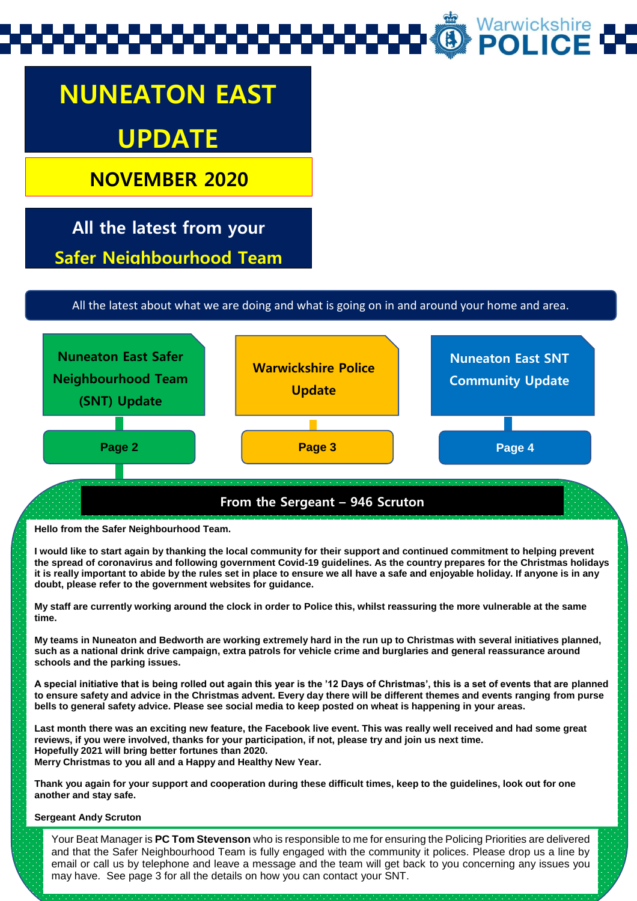# Warwickshire<br>**POLICE**

## **NUNEATON EAST UPDATE**

**NOVEMBER 2020**

**All the latest from your Safer Neighbourhood Team**

All the latest about what we are doing and what is going on in and around your home and area.



**Hello from the Safer Neighbourhood Team.** 

**I would like to start again by thanking the local community for their support and continued commitment to helping prevent the spread of coronavirus and following government Covid-19 guidelines. As the country prepares for the Christmas holidays it is really important to abide by the rules set in place to ensure we all have a safe and enjoyable holiday. If anyone is in any doubt, please refer to the government websites for guidance.**

**My staff are currently working around the clock in order to Police this, whilst reassuring the more vulnerable at the same time.**

**My teams in Nuneaton and Bedworth are working extremely hard in the run up to Christmas with several initiatives planned, such as a national drink drive campaign, extra patrols for vehicle crime and burglaries and general reassurance around schools and the parking issues.**

**A special initiative that is being rolled out again this year is the '12 Days of Christmas', this is a set of events that are planned to ensure safety and advice in the Christmas advent. Every day there will be different themes and events ranging from purse bells to general safety advice. Please see social media to keep posted on wheat is happening in your areas.**

**Last month there was an exciting new feature, the Facebook live event. This was really well received and had some great reviews, if you were involved, thanks for your participation, if not, please try and join us next time. Hopefully 2021 will bring better fortunes than 2020. Merry Christmas to you all and a Happy and Healthy New Year.**

**Thank you again for your support and cooperation during these difficult times, keep to the guidelines, look out for one another and stay safe.** 

#### **Sergeant Andy Scruton**

Your Beat Manager is **PC Tom Stevenson** who is responsible to me for ensuring the Policing Priorities are delivered and that the Safer Neighbourhood Team is fully engaged with the community it polices. Please drop us a line by email or call us by telephone and leave a message and the team will get back to you concerning any issues you may have. See page 3 for all the details on how you can contact your SNT.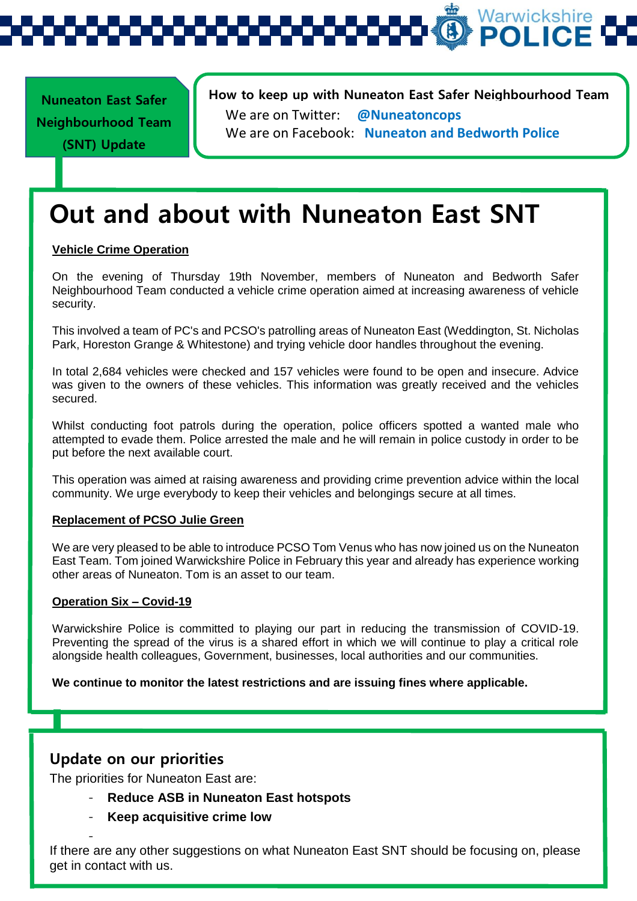Warwickshire

**Nuneaton East Safer Neighbourhood Team (SNT) Update** 

**How to keep up with Nuneaton East Safer Neighbourhood Team**  We are on Twitter: **@Nuneatoncops** We are on Facebook: **Nuneaton and Bedworth Police**

### **Out and about with Nuneaton East SNT**

#### **Vehicle Crime Operation**

On the evening of Thursday 19th November, members of Nuneaton and Bedworth Safer Neighbourhood Team conducted a vehicle crime operation aimed at increasing awareness of vehicle security.

This involved a team of PC's and PCSO's patrolling areas of Nuneaton East (Weddington, St. Nicholas Park, Horeston Grange & Whitestone) and trying vehicle door handles throughout the evening.

In total 2,684 vehicles were checked and 157 vehicles were found to be open and insecure. Advice was given to the owners of these vehicles. This information was greatly received and the vehicles secured.

Whilst conducting foot patrols during the operation, police officers spotted a wanted male who attempted to evade them. Police arrested the male and he will remain in police custody in order to be put before the next available court.

This operation was aimed at raising awareness and providing crime prevention advice within the local community. We urge everybody to keep their vehicles and belongings secure at all times.

#### **Replacement of PCSO Julie Green**

We are very pleased to be able to introduce PCSO Tom Venus who has now joined us on the Nuneaton East Team. Tom joined Warwickshire Police in February this year and already has experience working other areas of Nuneaton. Tom is an asset to our team.

#### **Operation Six – Covid-19**

Warwickshire Police is committed to playing our part in reducing the transmission of COVID-19. Preventing the spread of the virus is a shared effort in which we will continue to play a critical role alongside health colleagues, Government, businesses, local authorities and our communities.

**We continue to monitor the latest restrictions and are issuing fines where applicable.** 

#### **Update on our priorities**

-

The priorities for Nuneaton East are:

- **Reduce ASB in Nuneaton East hotspots**
- **Keep acquisitive crime low**

If there are any other suggestions on what Nuneaton East SNT should be focusing on, please get in contact with us.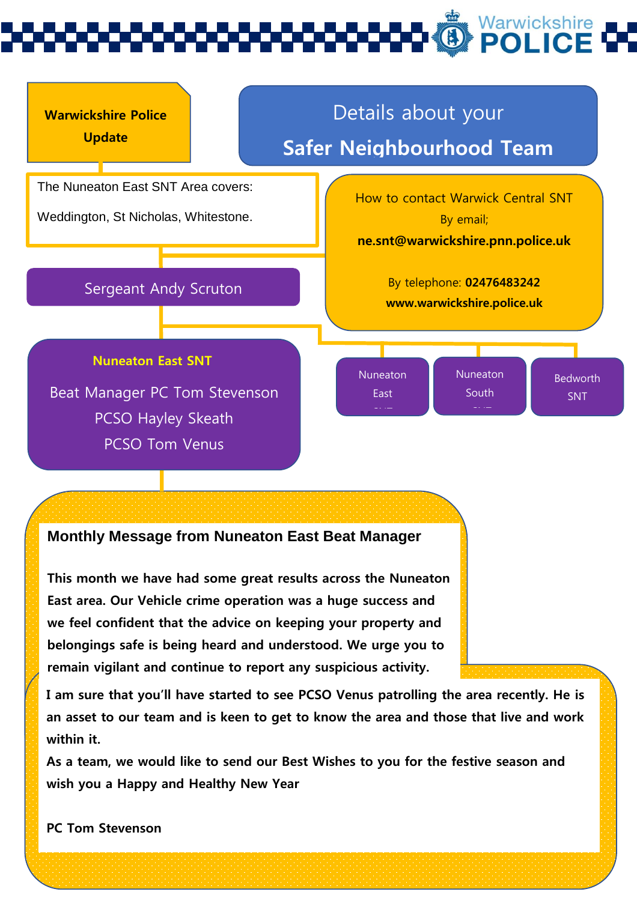

#### **Monthly Message from Nuneaton East Beat Manager**

**This month we have had some great results across the Nuneaton East area. Our Vehicle crime operation was a huge success and we feel confident that the advice on keeping your property and belongings safe is being heard and understood. We urge you to remain vigilant and continue to report any suspicious activity.** 

**I am sure that you'll have started to see PCSO Venus patrolling the area recently. He is an asset to our team and is keen to get to know the area and those that live and work within it.** 

**As a team, we would like to send our Best Wishes to you for the festive season and wish you a Happy and Healthy New Year** 

**PC Tom Stevenson**